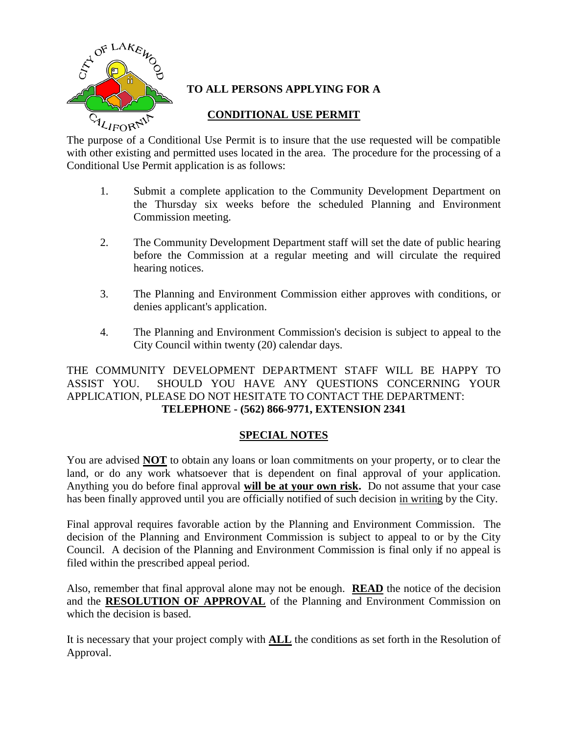

# **TO ALL PERSONS APPLYING FOR A**

# **CONDITIONAL USE PERMIT**

The purpose of a Conditional Use Permit is to insure that the use requested will be compatible with other existing and permitted uses located in the area. The procedure for the processing of a Conditional Use Permit application is as follows:

- 1. Submit a complete application to the Community Development Department on the Thursday six weeks before the scheduled Planning and Environment Commission meeting.
- 2. The Community Development Department staff will set the date of public hearing before the Commission at a regular meeting and will circulate the required hearing notices.
- 3. The Planning and Environment Commission either approves with conditions, or denies applicant's application.
- 4. The Planning and Environment Commission's decision is subject to appeal to the City Council within twenty (20) calendar days.

THE COMMUNITY DEVELOPMENT DEPARTMENT STAFF WILL BE HAPPY TO ASSIST YOU. SHOULD YOU HAVE ANY QUESTIONS CONCERNING YOUR APPLICATION, PLEASE DO NOT HESITATE TO CONTACT THE DEPARTMENT: **TELEPHONE - (562) 866-9771, EXTENSION 2341**

# **SPECIAL NOTES**

You are advised **NOT** to obtain any loans or loan commitments on your property, or to clear the land, or do any work whatsoever that is dependent on final approval of your application. Anything you do before final approval **will be at your own risk.** Do not assume that your case has been finally approved until you are officially notified of such decision in writing by the City.

Final approval requires favorable action by the Planning and Environment Commission. The decision of the Planning and Environment Commission is subject to appeal to or by the City Council. A decision of the Planning and Environment Commission is final only if no appeal is filed within the prescribed appeal period.

Also, remember that final approval alone may not be enough. **READ** the notice of the decision and the **RESOLUTION OF APPROVAL** of the Planning and Environment Commission on which the decision is based.

It is necessary that your project comply with **ALL** the conditions as set forth in the Resolution of Approval.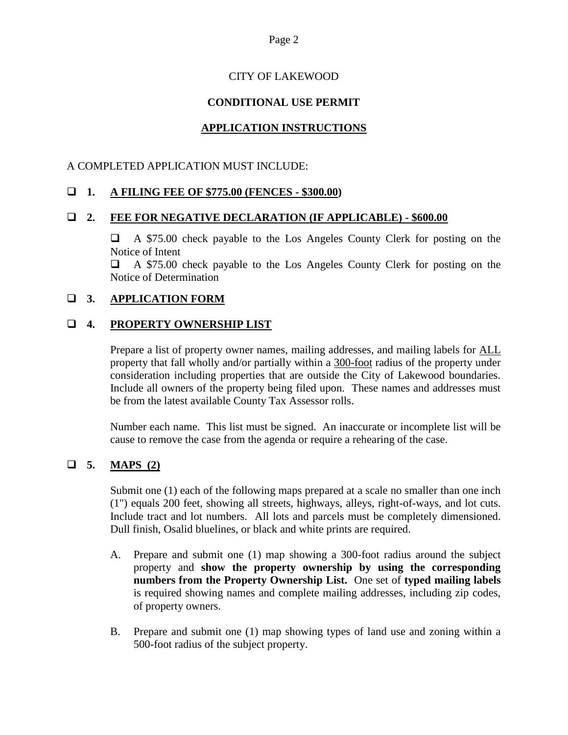# CITY OF LAKEWOOD

# **CONDITIONAL USE PERMIT**

# **APPLICATION INSTRUCTIONS**

## A COMPLETED APPLICATION MUST INCLUDE:

# **1. A FILING FEE OF \$775.00 (FENCES - \$300.00)**

#### **2. FEE FOR NEGATIVE DECLARATION (IF APPLICABLE) - \$600.00**

 A \$75.00 check payable to the Los Angeles County Clerk for posting on the Notice of Intent

 A \$75.00 check payable to the Los Angeles County Clerk for posting on the Notice of Determination

### **3. APPLICATION FORM**

### **4. PROPERTY OWNERSHIP LIST**

Prepare a list of property owner names, mailing addresses, and mailing labels for ALL property that fall wholly and/or partially within a 300-foot radius of the property under consideration including properties that are outside the City of Lakewood boundaries. Include all owners of the property being filed upon. These names and addresses must be from the latest available County Tax Assessor rolls.

Number each name. This list must be signed. An inaccurate or incomplete list will be cause to remove the case from the agenda or require a rehearing of the case.

# **5. MAPS (2)**

Submit one (1) each of the following maps prepared at a scale no smaller than one inch (1") equals 200 feet, showing all streets, highways, alleys, right-of-ways, and lot cuts. Include tract and lot numbers. All lots and parcels must be completely dimensioned. Dull finish, Osalid bluelines, or black and white prints are required.

- A. Prepare and submit one (1) map showing a 300-foot radius around the subject property and **show the property ownership by using the corresponding numbers from the Property Ownership List.** One set of **typed mailing labels** is required showing names and complete mailing addresses, including zip codes, of property owners.
- B. Prepare and submit one (1) map showing types of land use and zoning within a 500-foot radius of the subject property.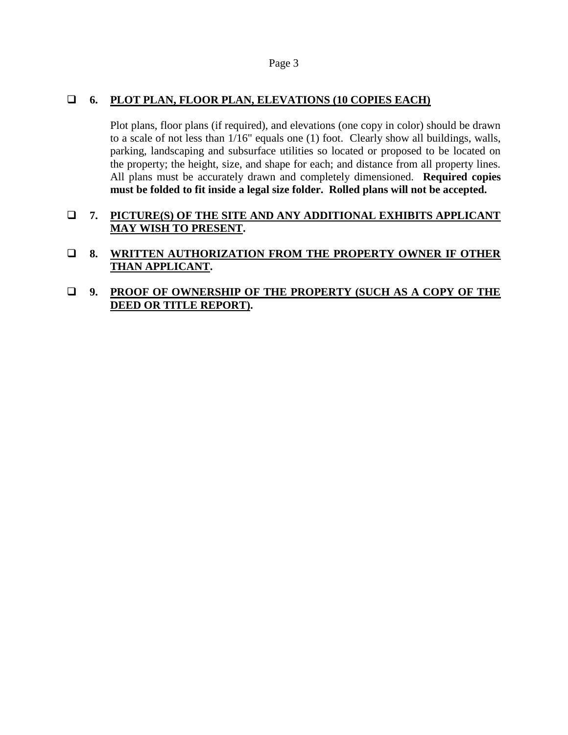# **6. PLOT PLAN, FLOOR PLAN, ELEVATIONS (10 COPIES EACH)**

Plot plans, floor plans (if required), and elevations (one copy in color) should be drawn to a scale of not less than 1/16" equals one (1) foot. Clearly show all buildings, walls, parking, landscaping and subsurface utilities so located or proposed to be located on the property; the height, size, and shape for each; and distance from all property lines. All plans must be accurately drawn and completely dimensioned. **Required copies must be folded to fit inside a legal size folder. Rolled plans will not be accepted.**

## **7. PICTURE(S) OF THE SITE AND ANY ADDITIONAL EXHIBITS APPLICANT MAY WISH TO PRESENT.**

 **8. WRITTEN AUTHORIZATION FROM THE PROPERTY OWNER IF OTHER THAN APPLICANT.**

## **9. PROOF OF OWNERSHIP OF THE PROPERTY (SUCH AS A COPY OF THE DEED OR TITLE REPORT).**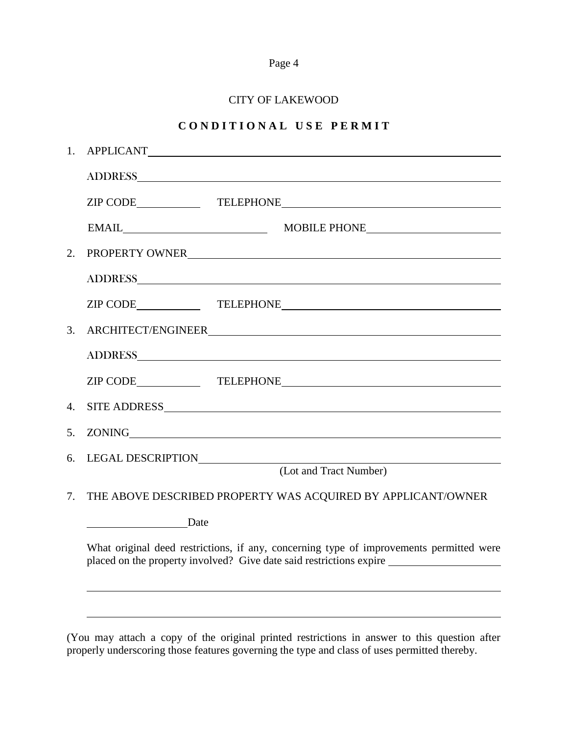|--|--|

### CITY OF LAKEWOOD

# **C O N D I T I O N A L U S E P E R M I T**

| 1.                                                                                                                                                             |                                                                                                                                                                                                                                |  |  |
|----------------------------------------------------------------------------------------------------------------------------------------------------------------|--------------------------------------------------------------------------------------------------------------------------------------------------------------------------------------------------------------------------------|--|--|
|                                                                                                                                                                |                                                                                                                                                                                                                                |  |  |
|                                                                                                                                                                |                                                                                                                                                                                                                                |  |  |
|                                                                                                                                                                | EMAIL MOBILE PHONE                                                                                                                                                                                                             |  |  |
| 2.                                                                                                                                                             | PROPERTY OWNER                                                                                                                                                                                                                 |  |  |
|                                                                                                                                                                |                                                                                                                                                                                                                                |  |  |
|                                                                                                                                                                |                                                                                                                                                                                                                                |  |  |
| 3.                                                                                                                                                             | ARCHITECT/ENGINEER                                                                                                                                                                                                             |  |  |
|                                                                                                                                                                |                                                                                                                                                                                                                                |  |  |
|                                                                                                                                                                |                                                                                                                                                                                                                                |  |  |
| 4.                                                                                                                                                             | SITE ADDRESS ON A SERIES AND A SERIES AND A SERIES AND A SERIES AND A SERIES AND A SERIES AND A SERIES AND A SERIES AND A SERIES AND A SERIES AND A SERIES AND A SERIES AND A SERIES AND A SERIES AND A SERIES AND A SERIES AN |  |  |
| 5.                                                                                                                                                             |                                                                                                                                                                                                                                |  |  |
| 6.                                                                                                                                                             | (Lot and Tract Number)                                                                                                                                                                                                         |  |  |
| 7.                                                                                                                                                             | THE ABOVE DESCRIBED PROPERTY WAS ACQUIRED BY APPLICANT/OWNER                                                                                                                                                                   |  |  |
|                                                                                                                                                                | Date                                                                                                                                                                                                                           |  |  |
| What original deed restrictions, if any, concerning type of improvements permitted were<br>placed on the property involved? Give date said restrictions expire |                                                                                                                                                                                                                                |  |  |
|                                                                                                                                                                |                                                                                                                                                                                                                                |  |  |
|                                                                                                                                                                |                                                                                                                                                                                                                                |  |  |

(You may attach a copy of the original printed restrictions in answer to this question after properly underscoring those features governing the type and class of uses permitted thereby.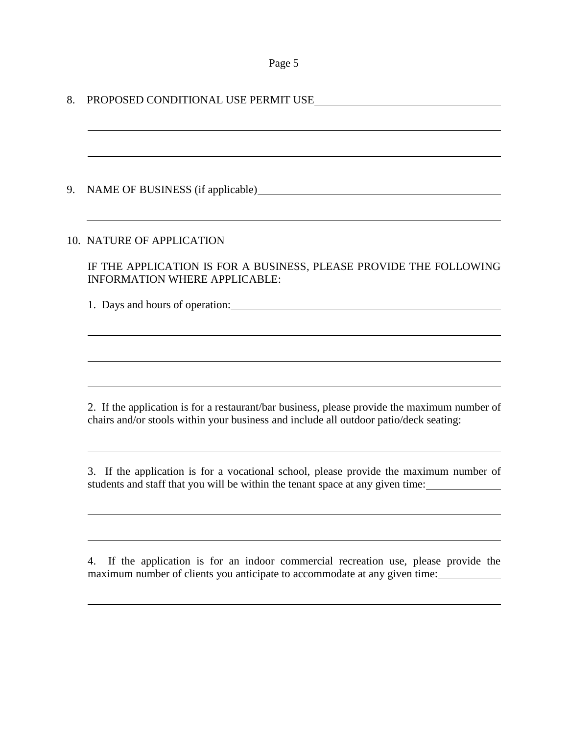8. PROPOSED CONDITIONAL USE PERMIT USE 9. NAME OF BUSINESS (if applicable) 10. NATURE OF APPLICATION IF THE APPLICATION IS FOR A BUSINESS, PLEASE PROVIDE THE FOLLOWING INFORMATION WHERE APPLICABLE: 1. Days and hours of operation: 2. If the application is for a restaurant/bar business, please provide the maximum number of chairs and/or stools within your business and include all outdoor patio/deck seating: 3. If the application is for a vocational school, please provide the maximum number of students and staff that you will be within the tenant space at any given time:

4. If the application is for an indoor commercial recreation use, please provide the maximum number of clients you anticipate to accommodate at any given time: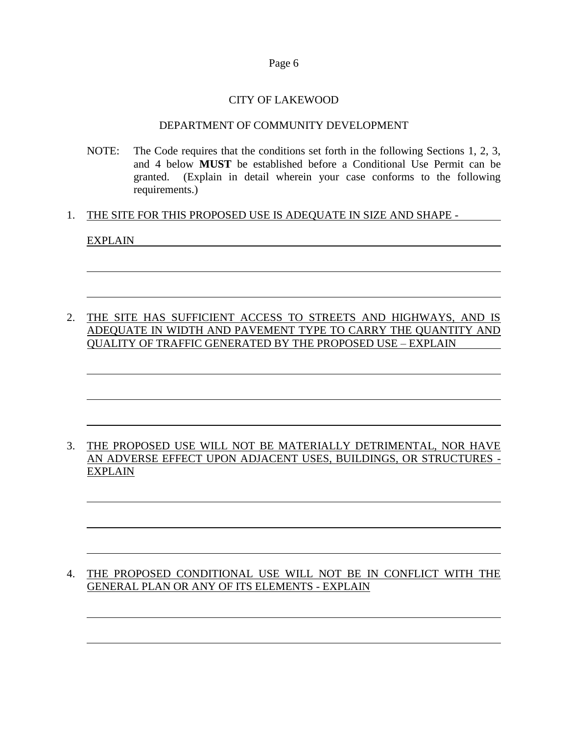### CITY OF LAKEWOOD

#### DEPARTMENT OF COMMUNITY DEVELOPMENT

NOTE: The Code requires that the conditions set forth in the following Sections 1, 2, 3, and 4 below **MUST** be established before a Conditional Use Permit can be granted. (Explain in detail wherein your case conforms to the following requirements.)

#### 1. THE SITE FOR THIS PROPOSED USE IS ADEQUATE IN SIZE AND SHAPE -

#### EXPLAIN

# 2. THE SITE HAS SUFFICIENT ACCESS TO STREETS AND HIGHWAYS, AND IS ADEQUATE IN WIDTH AND PAVEMENT TYPE TO CARRY THE QUANTITY AND QUALITY OF TRAFFIC GENERATED BY THE PROPOSED USE – EXPLAIN

## 3. THE PROPOSED USE WILL NOT BE MATERIALLY DETRIMENTAL, NOR HAVE AN ADVERSE EFFECT UPON ADJACENT USES, BUILDINGS, OR STRUCTURES - EXPLAIN

# 4. THE PROPOSED CONDITIONAL USE WILL NOT BE IN CONFLICT WITH THE GENERAL PLAN OR ANY OF ITS ELEMENTS - EXPLAIN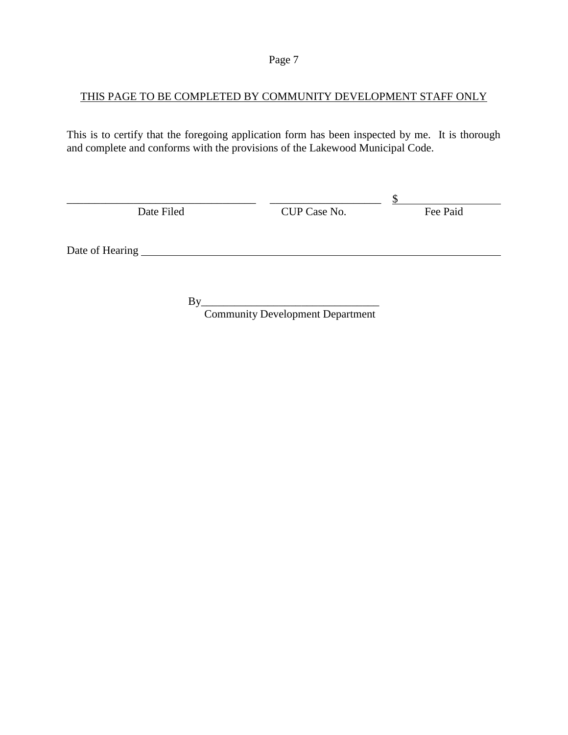# THIS PAGE TO BE COMPLETED BY COMMUNITY DEVELOPMENT STAFF ONLY

This is to certify that the foregoing application form has been inspected by me. It is thorough and complete and conforms with the provisions of the Lakewood Municipal Code.

| Date Filed      | CUP Case No. | Fee Paid |
|-----------------|--------------|----------|
|                 |              |          |
|                 |              |          |
| Date of Hearing |              |          |
|                 |              |          |

 $By$ Community Development Department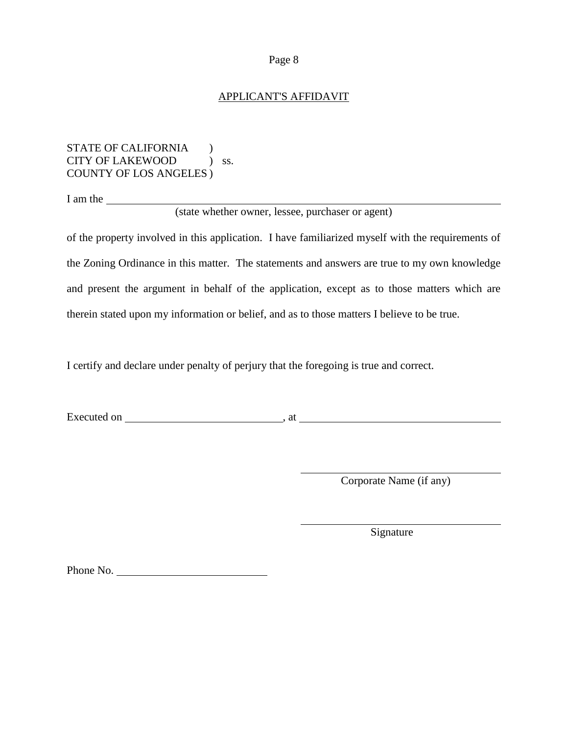#### APPLICANT'S AFFIDAVIT

STATE OF CALIFORNIA ) CITY OF LAKEWOOD ) ss. COUNTY OF LOS ANGELES )

I am the

(state whether owner, lessee, purchaser or agent)

of the property involved in this application. I have familiarized myself with the requirements of the Zoning Ordinance in this matter. The statements and answers are true to my own knowledge and present the argument in behalf of the application, except as to those matters which are therein stated upon my information or belief, and as to those matters I believe to be true.

I certify and declare under penalty of perjury that the foregoing is true and correct.

Executed on , at

Corporate Name (if any)

Signature

Phone No.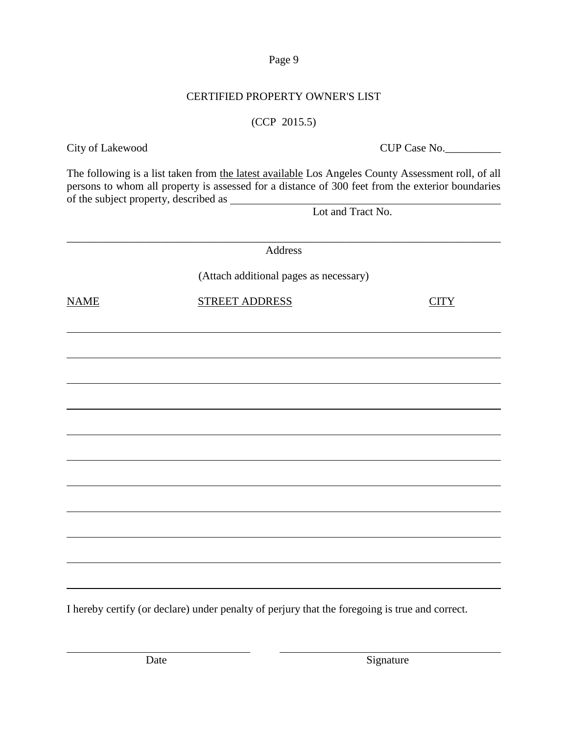I hereby certify (or declare) under penalty of perjury that the foregoing is true and correct.

Date Signature

\_\_\_\_\_\_\_\_\_\_\_\_\_\_\_\_\_\_\_\_\_\_\_\_\_\_\_\_\_\_\_\_\_\_\_\_\_\_\_\_\_\_\_\_\_\_\_\_\_\_\_\_\_\_\_\_\_\_\_\_\_\_\_\_\_\_\_\_\_\_\_\_\_\_\_\_\_\_ Address (Attach additional pages as necessary) NAME STREET ADDRESS CITY

The following is a list taken from the latest available Los Angeles County Assessment roll, of all persons to whom all property is assessed for a distance of 300 feet from the exterior boundaries of the subject property, described as

Lot and Tract No.

# CERTIFIED PROPERTY OWNER'S LIST

# (CCP 2015.5)

City of Lakewood CUP Case No.

Page 9